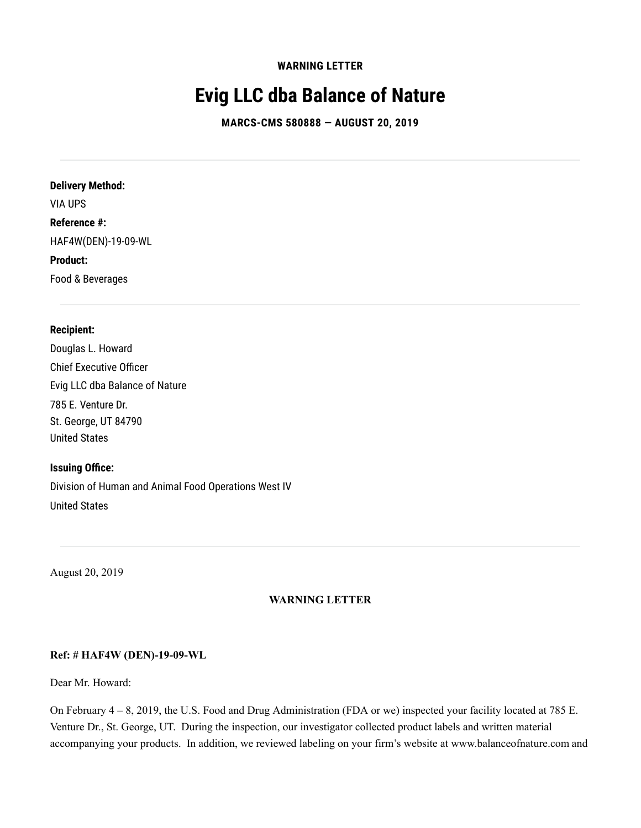**WARNING LETTER**

# **Evig LLC dba Balance of Nature**

**MARCS-CMS 580888 — AUGUST 20, 2019**

**Delivery Method:** VIA UPS **Reference #:** HAF4W(DEN)-19-09-WL **Product:** Food & Beverages

#### **Recipient:**

Douglas L. Howard Chief Executive Officer Evig LLC dba Balance of Nature 785 E. Venture Dr. St. George, UT 84790 United States

#### **Issuing Office:**

Division of Human and Animal Food Operations West IV United States

August 20, 2019

## **WARNING LETTER**

## **Ref: # HAF4W (DEN)-19-09-WL**

Dear Mr. Howard:

On February 4 – 8, 2019, the U.S. Food and Drug Administration (FDA or we) inspected your facility located at 785 E. Venture Dr., St. George, UT. During the inspection, our investigator collected product labels and written material accompanying your products. In addition, we reviewed labeling on your firm's website at www.balanceofnature.com and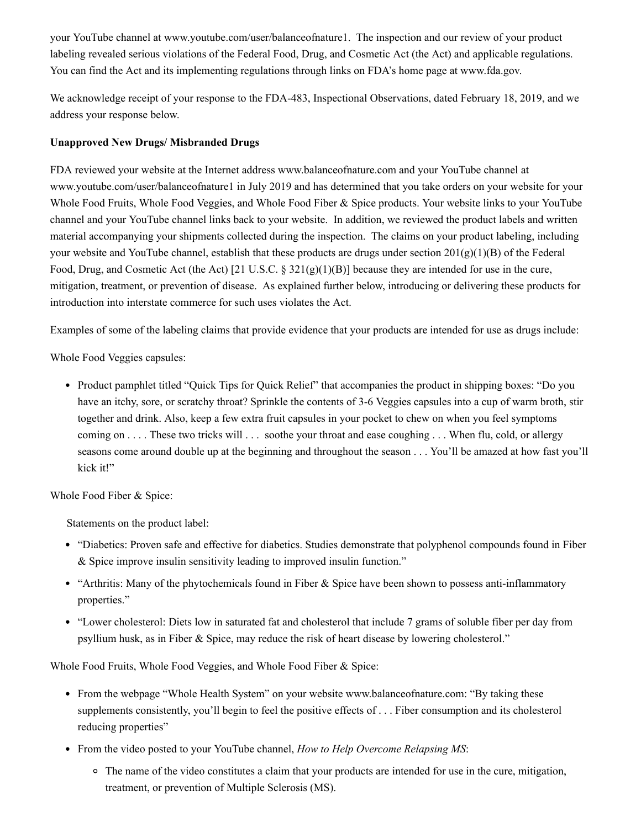your YouTube channel at www.youtube.com/user/balanceofnature1. The inspection and our review of your product labeling revealed serious violations of the Federal Food, Drug, and Cosmetic Act (the Act) and applicable regulations. You can find the Act and its implementing regulations through links on FDA's home page at www.fda.gov.

We acknowledge receipt of your response to the FDA-483, Inspectional Observations, dated February 18, 2019, and we address your response below.

## **Unapproved New Drugs/ Misbranded Drugs**

FDA reviewed your website at the Internet address www.balanceofnature.com and your YouTube channel at www.youtube.com/user/balanceofnature1 in July 2019 and has determined that you take orders on your website for your Whole Food Fruits, Whole Food Veggies, and Whole Food Fiber & Spice products. Your website links to your YouTube channel and your YouTube channel links back to your website. In addition, we reviewed the product labels and written material accompanying your shipments collected during the inspection. The claims on your product labeling, including your website and YouTube channel, establish that these products are drugs under section 201(g)(1)(B) of the Federal Food, Drug, and Cosmetic Act (the Act) [21 U.S.C. §  $321(g)(1)(B)$ ] because they are intended for use in the cure, mitigation, treatment, or prevention of disease. As explained further below, introducing or delivering these products for introduction into interstate commerce for such uses violates the Act.

Examples of some of the labeling claims that provide evidence that your products are intended for use as drugs include:

Whole Food Veggies capsules:

• Product pamphlet titled "Quick Tips for Quick Relief" that accompanies the product in shipping boxes: "Do you have an itchy, sore, or scratchy throat? Sprinkle the contents of 3-6 Veggies capsules into a cup of warm broth, stir together and drink. Also, keep a few extra fruit capsules in your pocket to chew on when you feel symptoms coming on . . . . These two tricks will . . . soothe your throat and ease coughing . . . When flu, cold, or allergy seasons come around double up at the beginning and throughout the season . . . You'll be amazed at how fast you'll kick it!"

Whole Food Fiber & Spice:

Statements on the product label:

- "Diabetics: Proven safe and effective for diabetics. Studies demonstrate that polyphenol compounds found in Fiber & Spice improve insulin sensitivity leading to improved insulin function."
- "Arthritis: Many of the phytochemicals found in Fiber & Spice have been shown to possess anti-inflammatory properties."
- "Lower cholesterol: Diets low in saturated fat and cholesterol that include 7 grams of soluble fiber per day from psyllium husk, as in Fiber & Spice, may reduce the risk of heart disease by lowering cholesterol."

Whole Food Fruits, Whole Food Veggies, and Whole Food Fiber & Spice:

- From the webpage "Whole Health System" on your website www.balanceofnature.com: "By taking these supplements consistently, you'll begin to feel the positive effects of . . . Fiber consumption and its cholesterol reducing properties"
- From the video posted to your YouTube channel, *How to Help Overcome Relapsing MS*:
	- The name of the video constitutes a claim that your products are intended for use in the cure, mitigation, treatment, or prevention of Multiple Sclerosis (MS).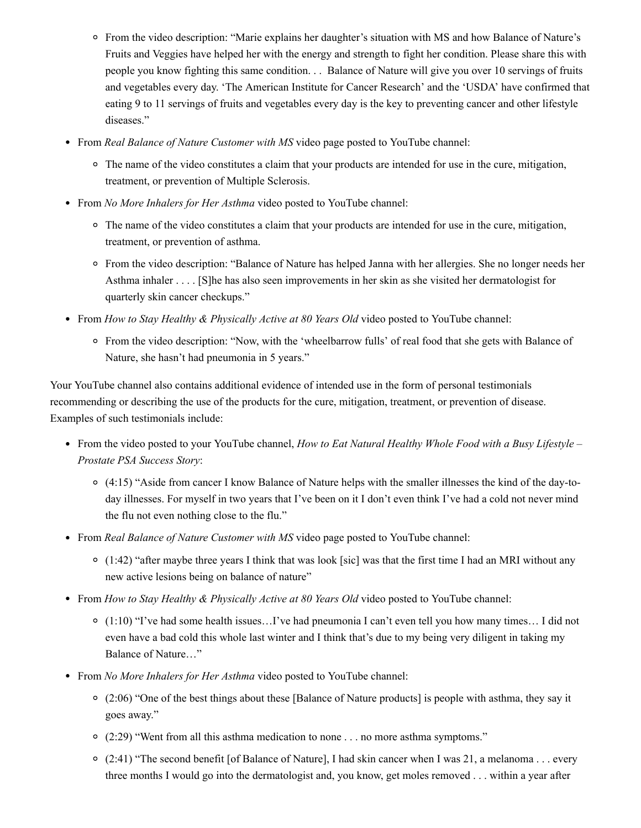- From the video description: "Marie explains her daughter's situation with MS and how Balance of Nature's Fruits and Veggies have helped her with the energy and strength to fight her condition. Please share this with people you know fighting this same condition. . . Balance of Nature will give you over 10 servings of fruits and vegetables every day. 'The American Institute for Cancer Research' and the 'USDA' have confirmed that eating 9 to 11 servings of fruits and vegetables every day is the key to preventing cancer and other lifestyle diseases."
- From *Real Balance of Nature Customer with MS* video page posted to YouTube channel:
	- <sup>o</sup> The name of the video constitutes a claim that your products are intended for use in the cure, mitigation, treatment, or prevention of Multiple Sclerosis.
- From *No More Inhalers for Her Asthma* video posted to YouTube channel:
	- <sup>o</sup> The name of the video constitutes a claim that your products are intended for use in the cure, mitigation, treatment, or prevention of asthma.
	- From the video description: "Balance of Nature has helped Janna with her allergies. She no longer needs her Asthma inhaler . . . . [S]he has also seen improvements in her skin as she visited her dermatologist for quarterly skin cancer checkups."
- From *How to Stay Healthy & Physically Active at 80 Years Old* video posted to YouTube channel:
	- From the video description: "Now, with the 'wheelbarrow fulls' of real food that she gets with Balance of Nature, she hasn't had pneumonia in 5 years."

Your YouTube channel also contains additional evidence of intended use in the form of personal testimonials recommending or describing the use of the products for the cure, mitigation, treatment, or prevention of disease. Examples of such testimonials include:

- From the video posted to your YouTube channel, *How to Eat Natural Healthy Whole Food with a Busy Lifestyle – Prostate PSA Success Story*:
	- $\circ$  (4:15) "Aside from cancer I know Balance of Nature helps with the smaller illnesses the kind of the day-today illnesses. For myself in two years that I've been on it I don't even think I've had a cold not never mind the flu not even nothing close to the flu."
- From *Real Balance of Nature Customer with MS* video page posted to YouTube channel:
	- $\circ$  (1:42) "after maybe three years I think that was look [sic] was that the first time I had an MRI without any new active lesions being on balance of nature"
- From *How to Stay Healthy & Physically Active at 80 Years Old* video posted to YouTube channel:
	- (1:10) "I've had some health issues…I've had pneumonia I can't even tell you how many times… I did not even have a bad cold this whole last winter and I think that's due to my being very diligent in taking my Balance of Nature…"
- From *No More Inhalers for Her Asthma* video posted to YouTube channel:
	- $\circ$  (2:06) "One of the best things about these [Balance of Nature products] is people with asthma, they say it goes away."
	- (2:29) "Went from all this asthma medication to none . . . no more asthma symptoms."
	- $\circ$  (2:41) "The second benefit [of Balance of Nature], I had skin cancer when I was 21, a melanoma . . . every three months I would go into the dermatologist and, you know, get moles removed . . . within a year after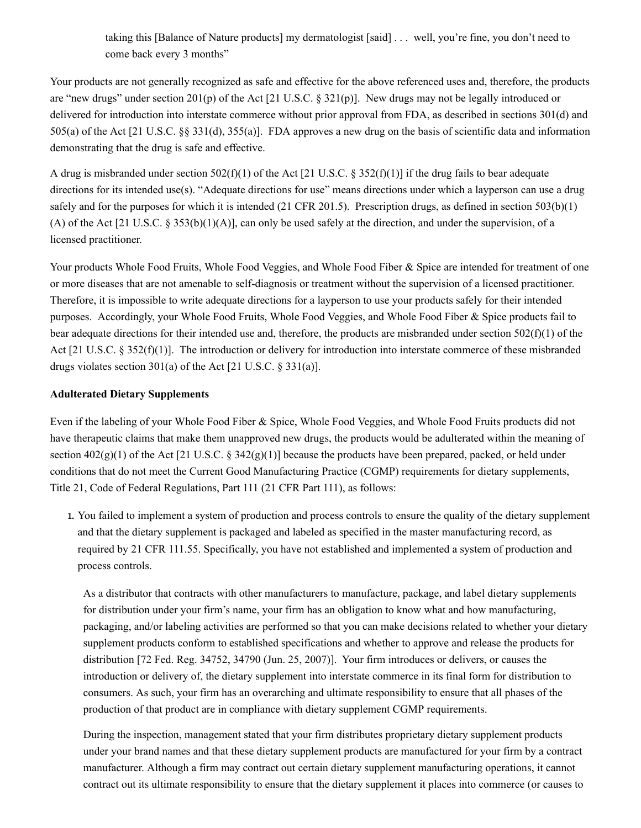taking this [Balance of Nature products] my dermatologist [said] . . . well, you're fine, you don't need to come back every 3 months"

Your products are not generally recognized as safe and effective for the above referenced uses and, therefore, the products are "new drugs" under section 201(p) of the Act [21 U.S.C. § 321(p)]. New drugs may not be legally introduced or delivered for introduction into interstate commerce without prior approval from FDA, as described in sections 301(d) and 505(a) of the Act [21 U.S.C. §§ 331(d), 355(a)]. FDA approves a new drug on the basis of scientific data and information demonstrating that the drug is safe and effective.

A drug is misbranded under section  $502(f)(1)$  of the Act [21 U.S.C. § 352(f)(1)] if the drug fails to bear adequate directions for its intended use(s). "Adequate directions for use" means directions under which a layperson can use a drug safely and for the purposes for which it is intended (21 CFR 201.5). Prescription drugs, as defined in section  $503(b)(1)$ (A) of the Act [21 U.S.C. § 353(b)(1)(A)], can only be used safely at the direction, and under the supervision, of a licensed practitioner.

Your products Whole Food Fruits, Whole Food Veggies, and Whole Food Fiber & Spice are intended for treatment of one or more diseases that are not amenable to self-diagnosis or treatment without the supervision of a licensed practitioner. Therefore, it is impossible to write adequate directions for a layperson to use your products safely for their intended purposes. Accordingly, your Whole Food Fruits, Whole Food Veggies, and Whole Food Fiber & Spice products fail to bear adequate directions for their intended use and, therefore, the products are misbranded under section  $502(f)(1)$  of the Act [21 U.S.C. § 352(f)(1)]. The introduction or delivery for introduction into interstate commerce of these misbranded drugs violates section 301(a) of the Act [21 U.S.C. § 331(a)].

## **Adulterated Dietary Supplements**

Even if the labeling of your Whole Food Fiber & Spice, Whole Food Veggies, and Whole Food Fruits products did not have therapeutic claims that make them unapproved new drugs, the products would be adulterated within the meaning of section  $402(g)(1)$  of the Act [21 U.S.C. §  $342(g)(1)$ ] because the products have been prepared, packed, or held under conditions that do not meet the Current Good Manufacturing Practice (CGMP) requirements for dietary supplements, Title 21, Code of Federal Regulations, Part 111 (21 CFR Part 111), as follows:

1. You failed to implement a system of production and process controls to ensure the quality of the dietary supplement and that the dietary supplement is packaged and labeled as specified in the master manufacturing record, as required by 21 CFR 111.55. Specifically, you have not established and implemented a system of production and process controls.

As a distributor that contracts with other manufacturers to manufacture, package, and label dietary supplements for distribution under your firm's name, your firm has an obligation to know what and how manufacturing, packaging, and/or labeling activities are performed so that you can make decisions related to whether your dietary supplement products conform to established specifications and whether to approve and release the products for distribution [72 Fed. Reg. 34752, 34790 (Jun. 25, 2007)]. Your firm introduces or delivers, or causes the introduction or delivery of, the dietary supplement into interstate commerce in its final form for distribution to consumers. As such, your firm has an overarching and ultimate responsibility to ensure that all phases of the production of that product are in compliance with dietary supplement CGMP requirements.

During the inspection, management stated that your firm distributes proprietary dietary supplement products under your brand names and that these dietary supplement products are manufactured for your firm by a contract manufacturer. Although a firm may contract out certain dietary supplement manufacturing operations, it cannot contract out its ultimate responsibility to ensure that the dietary supplement it places into commerce (or causes to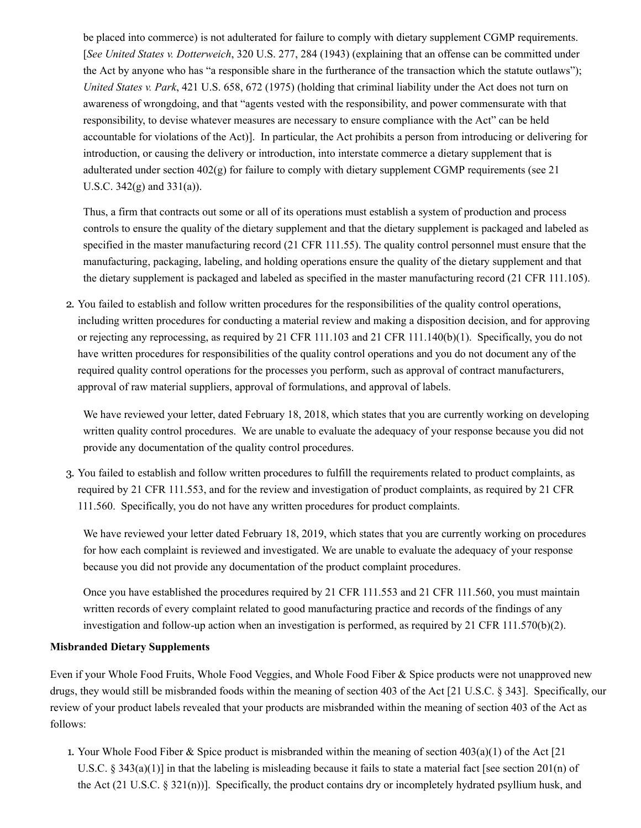be placed into commerce) is not adulterated for failure to comply with dietary supplement CGMP requirements. [*See United States v. Dotterweich*, 320 U.S. 277, 284 (1943) (explaining that an offense can be committed under the Act by anyone who has "a responsible share in the furtherance of the transaction which the statute outlaws"); *United States v. Park*, 421 U.S. 658, 672 (1975) (holding that criminal liability under the Act does not turn on awareness of wrongdoing, and that "agents vested with the responsibility, and power commensurate with that responsibility, to devise whatever measures are necessary to ensure compliance with the Act" can be held accountable for violations of the Act)]. In particular, the Act prohibits a person from introducing or delivering for introduction, or causing the delivery or introduction, into interstate commerce a dietary supplement that is adulterated under section  $402(g)$  for failure to comply with dietary supplement CGMP requirements (see 21) U.S.C. 342(g) and 331(a)).

Thus, a firm that contracts out some or all of its operations must establish a system of production and process controls to ensure the quality of the dietary supplement and that the dietary supplement is packaged and labeled as specified in the master manufacturing record (21 CFR 111.55). The quality control personnel must ensure that the manufacturing, packaging, labeling, and holding operations ensure the quality of the dietary supplement and that the dietary supplement is packaged and labeled as specified in the master manufacturing record (21 CFR 111.105).

2. You failed to establish and follow written procedures for the responsibilities of the quality control operations, including written procedures for conducting a material review and making a disposition decision, and for approving or rejecting any reprocessing, as required by 21 CFR 111.103 and 21 CFR 111.140(b)(1). Specifically, you do not have written procedures for responsibilities of the quality control operations and you do not document any of the required quality control operations for the processes you perform, such as approval of contract manufacturers, approval of raw material suppliers, approval of formulations, and approval of labels.

We have reviewed your letter, dated February 18, 2018, which states that you are currently working on developing written quality control procedures. We are unable to evaluate the adequacy of your response because you did not provide any documentation of the quality control procedures.

3. You failed to establish and follow written procedures to fulfill the requirements related to product complaints, as required by 21 CFR 111.553, and for the review and investigation of product complaints, as required by 21 CFR 111.560. Specifically, you do not have any written procedures for product complaints.

We have reviewed your letter dated February 18, 2019, which states that you are currently working on procedures for how each complaint is reviewed and investigated. We are unable to evaluate the adequacy of your response because you did not provide any documentation of the product complaint procedures.

Once you have established the procedures required by 21 CFR 111.553 and 21 CFR 111.560, you must maintain written records of every complaint related to good manufacturing practice and records of the findings of any investigation and follow-up action when an investigation is performed, as required by 21 CFR 111.570(b)(2).

#### **Misbranded Dietary Supplements**

Even if your Whole Food Fruits, Whole Food Veggies, and Whole Food Fiber & Spice products were not unapproved new drugs, they would still be misbranded foods within the meaning of section 403 of the Act [21 U.S.C. § 343]. Specifically, our review of your product labels revealed that your products are misbranded within the meaning of section 403 of the Act as follows:

1. Your Whole Food Fiber & Spice product is misbranded within the meaning of section 403(a)(1) of the Act [21 U.S.C. § 343(a)(1)] in that the labeling is misleading because it fails to state a material fact [see section 201(n) of the Act (21 U.S.C. § 321(n))]. Specifically, the product contains dry or incompletely hydrated psyllium husk, and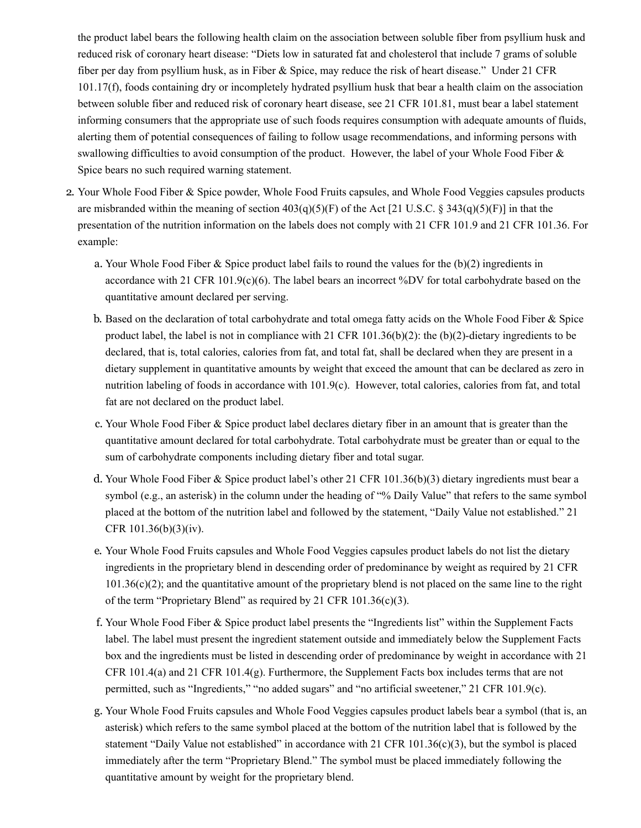the product label bears the following health claim on the association between soluble fiber from psyllium husk and reduced risk of coronary heart disease: "Diets low in saturated fat and cholesterol that include 7 grams of soluble fiber per day from psyllium husk, as in Fiber & Spice, may reduce the risk of heart disease." Under 21 CFR 101.17(f), foods containing dry or incompletely hydrated psyllium husk that bear a health claim on the association between soluble fiber and reduced risk of coronary heart disease, see 21 CFR 101.81, must bear a label statement informing consumers that the appropriate use of such foods requires consumption with adequate amounts of fluids, alerting them of potential consequences of failing to follow usage recommendations, and informing persons with swallowing difficulties to avoid consumption of the product. However, the label of your Whole Food Fiber & Spice bears no such required warning statement.

- 2. Your Whole Food Fiber & Spice powder, Whole Food Fruits capsules, and Whole Food Veggies capsules products are misbranded within the meaning of section  $403(q)(5)(F)$  of the Act [21 U.S.C. § 343(q)(5)(F)] in that the presentation of the nutrition information on the labels does not comply with 21 CFR 101.9 and 21 CFR 101.36. For example:
	- a. Your Whole Food Fiber & Spice product label fails to round the values for the  $(b)(2)$  ingredients in accordance with 21 CFR 101.9(c)(6). The label bears an incorrect %DV for total carbohydrate based on the quantitative amount declared per serving.
	- b. Based on the declaration of total carbohydrate and total omega fatty acids on the Whole Food Fiber & Spice product label, the label is not in compliance with 21 CFR 101.36(b)(2): the (b)(2)-dietary ingredients to be declared, that is, total calories, calories from fat, and total fat, shall be declared when they are present in a dietary supplement in quantitative amounts by weight that exceed the amount that can be declared as zero in nutrition labeling of foods in accordance with 101.9(c). However, total calories, calories from fat, and total fat are not declared on the product label.
	- c. Your Whole Food Fiber & Spice product label declares dietary fiber in an amount that is greater than the quantitative amount declared for total carbohydrate. Total carbohydrate must be greater than or equal to the sum of carbohydrate components including dietary fiber and total sugar.
	- d. Your Whole Food Fiber & Spice product label's other 21 CFR 101.36(b)(3) dietary ingredients must bear a symbol (e.g., an asterisk) in the column under the heading of "% Daily Value" that refers to the same symbol placed at the bottom of the nutrition label and followed by the statement, "Daily Value not established." 21 CFR 101.36(b)(3)(iv).
	- e. Your Whole Food Fruits capsules and Whole Food Veggies capsules product labels do not list the dietary ingredients in the proprietary blend in descending order of predominance by weight as required by 21 CFR 101.36(c)(2); and the quantitative amount of the proprietary blend is not placed on the same line to the right of the term "Proprietary Blend" as required by 21 CFR 101.36(c)(3).
	- f. Your Whole Food Fiber & Spice product label presents the "Ingredients list" within the Supplement Facts label. The label must present the ingredient statement outside and immediately below the Supplement Facts box and the ingredients must be listed in descending order of predominance by weight in accordance with 21 CFR 101.4(a) and 21 CFR 101.4(g). Furthermore, the Supplement Facts box includes terms that are not permitted, such as "Ingredients," "no added sugars" and "no artificial sweetener," 21 CFR 101.9(c).
	- g. Your Whole Food Fruits capsules and Whole Food Veggies capsules product labels bear a symbol (that is, an asterisk) which refers to the same symbol placed at the bottom of the nutrition label that is followed by the statement "Daily Value not established" in accordance with 21 CFR 101.36(c)(3), but the symbol is placed immediately after the term "Proprietary Blend." The symbol must be placed immediately following the quantitative amount by weight for the proprietary blend.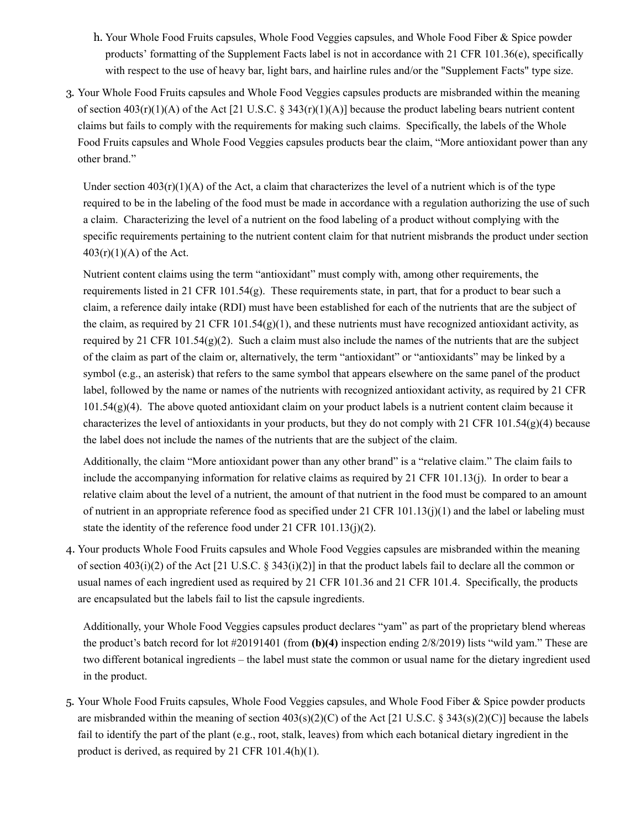- h. Your Whole Food Fruits capsules, Whole Food Veggies capsules, and Whole Food Fiber & Spice powder products' formatting of the Supplement Facts label is not in accordance with 21 CFR 101.36(e), specifically with respect to the use of heavy bar, light bars, and hairline rules and/or the "Supplement Facts" type size.
- 3. Your Whole Food Fruits capsules and Whole Food Veggies capsules products are misbranded within the meaning of section  $403(r)(1)(A)$  of the Act [21 U.S.C. § 343(r)(1)(A)] because the product labeling bears nutrient content claims but fails to comply with the requirements for making such claims. Specifically, the labels of the Whole Food Fruits capsules and Whole Food Veggies capsules products bear the claim, "More antioxidant power than any other brand."

Under section  $403(r)(1)(A)$  of the Act, a claim that characterizes the level of a nutrient which is of the type required to be in the labeling of the food must be made in accordance with a regulation authorizing the use of such a claim. Characterizing the level of a nutrient on the food labeling of a product without complying with the specific requirements pertaining to the nutrient content claim for that nutrient misbrands the product under section  $403(r)(1)(A)$  of the Act.

Nutrient content claims using the term "antioxidant" must comply with, among other requirements, the requirements listed in 21 CFR 101.54(g). These requirements state, in part, that for a product to bear such a claim, a reference daily intake (RDI) must have been established for each of the nutrients that are the subject of the claim, as required by 21 CFR 101.54 $(g)(1)$ , and these nutrients must have recognized antioxidant activity, as required by 21 CFR 101.54(g)(2). Such a claim must also include the names of the nutrients that are the subject of the claim as part of the claim or, alternatively, the term "antioxidant" or "antioxidants" may be linked by a symbol (e.g., an asterisk) that refers to the same symbol that appears elsewhere on the same panel of the product label, followed by the name or names of the nutrients with recognized antioxidant activity, as required by 21 CFR 101.54(g)(4). The above quoted antioxidant claim on your product labels is a nutrient content claim because it characterizes the level of antioxidants in your products, but they do not comply with 21 CFR 101.54(g)(4) because the label does not include the names of the nutrients that are the subject of the claim.

Additionally, the claim "More antioxidant power than any other brand" is a "relative claim." The claim fails to include the accompanying information for relative claims as required by 21 CFR 101.13(j). In order to bear a relative claim about the level of a nutrient, the amount of that nutrient in the food must be compared to an amount of nutrient in an appropriate reference food as specified under 21 CFR 101.13(j)(1) and the label or labeling must state the identity of the reference food under 21 CFR 101.13(j)(2).

4. Your products Whole Food Fruits capsules and Whole Food Veggies capsules are misbranded within the meaning of section  $403(i)(2)$  of the Act [21 U.S.C. § 343(i)(2)] in that the product labels fail to declare all the common or usual names of each ingredient used as required by 21 CFR 101.36 and 21 CFR 101.4. Specifically, the products are encapsulated but the labels fail to list the capsule ingredients.

Additionally, your Whole Food Veggies capsules product declares "yam" as part of the proprietary blend whereas the product's batch record for lot #20191401 (from **(b)(4)** inspection ending 2/8/2019) lists "wild yam." These are two different botanical ingredients – the label must state the common or usual name for the dietary ingredient used in the product.

5. Your Whole Food Fruits capsules, Whole Food Veggies capsules, and Whole Food Fiber & Spice powder products are misbranded within the meaning of section  $403(s)(2)(C)$  of the Act [21 U.S.C. § 343(s)(2)(C)] because the labels fail to identify the part of the plant (e.g., root, stalk, leaves) from which each botanical dietary ingredient in the product is derived, as required by 21 CFR 101.4(h)(1).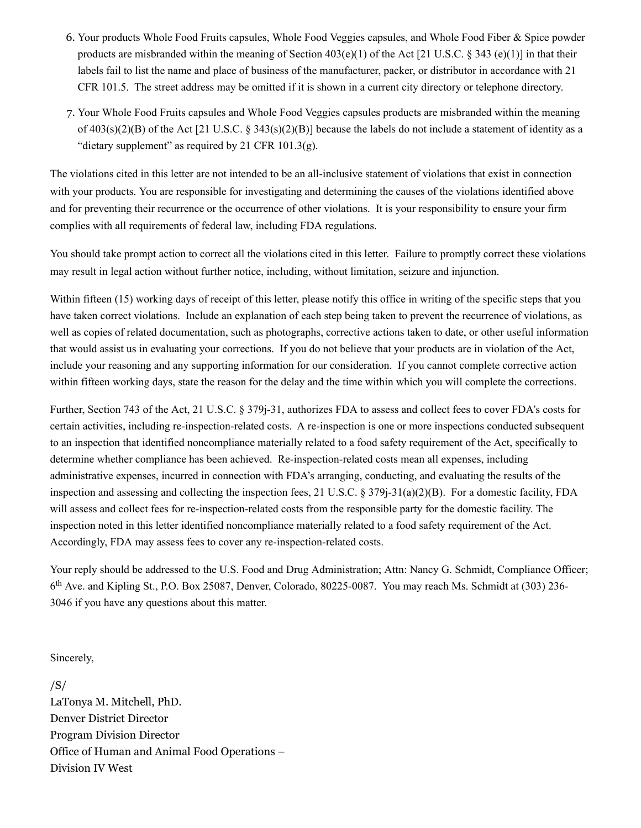- 6. Your products Whole Food Fruits capsules, Whole Food Veggies capsules, and Whole Food Fiber & Spice powder products are misbranded within the meaning of Section  $403(e)(1)$  of the Act [21 U.S.C. § 343 (e)(1)] in that their labels fail to list the name and place of business of the manufacturer, packer, or distributor in accordance with 21 CFR 101.5. The street address may be omitted if it is shown in a current city directory or telephone directory.
- 7. Your Whole Food Fruits capsules and Whole Food Veggies capsules products are misbranded within the meaning of  $403(s)(2)(B)$  of the Act [21 U.S.C. § 343(s)(2)(B)] because the labels do not include a statement of identity as a "dietary supplement" as required by 21 CFR  $101.3(g)$ .

The violations cited in this letter are not intended to be an all-inclusive statement of violations that exist in connection with your products. You are responsible for investigating and determining the causes of the violations identified above and for preventing their recurrence or the occurrence of other violations. It is your responsibility to ensure your firm complies with all requirements of federal law, including FDA regulations.

You should take prompt action to correct all the violations cited in this letter. Failure to promptly correct these violations may result in legal action without further notice, including, without limitation, seizure and injunction.

Within fifteen (15) working days of receipt of this letter, please notify this office in writing of the specific steps that you have taken correct violations. Include an explanation of each step being taken to prevent the recurrence of violations, as well as copies of related documentation, such as photographs, corrective actions taken to date, or other useful information that would assist us in evaluating your corrections. If you do not believe that your products are in violation of the Act, include your reasoning and any supporting information for our consideration. If you cannot complete corrective action within fifteen working days, state the reason for the delay and the time within which you will complete the corrections.

Further, Section 743 of the Act, 21 U.S.C. § 379j-31, authorizes FDA to assess and collect fees to cover FDA's costs for certain activities, including re-inspection-related costs. A re-inspection is one or more inspections conducted subsequent to an inspection that identified noncompliance materially related to a food safety requirement of the Act, specifically to determine whether compliance has been achieved. Re-inspection-related costs mean all expenses, including administrative expenses, incurred in connection with FDA's arranging, conducting, and evaluating the results of the inspection and assessing and collecting the inspection fees, 21 U.S.C.  $\S 379j-31(a)(2)(B)$ . For a domestic facility, FDA will assess and collect fees for re-inspection-related costs from the responsible party for the domestic facility. The inspection noted in this letter identified noncompliance materially related to a food safety requirement of the Act. Accordingly, FDA may assess fees to cover any re-inspection-related costs.

Your reply should be addressed to the U.S. Food and Drug Administration; Attn: Nancy G. Schmidt, Compliance Officer; 6<sup>th</sup> Ave. and Kipling St., P.O. Box 25087, Denver, Colorado, 80225-0087. You may reach Ms. Schmidt at (303) 236-3046 if you have any questions about this matter.

Sincerely,

/S/ LaTonya M. Mitchell, PhD. Denver District Director Program Division Director Office of Human and Animal Food Operations – Division IV West